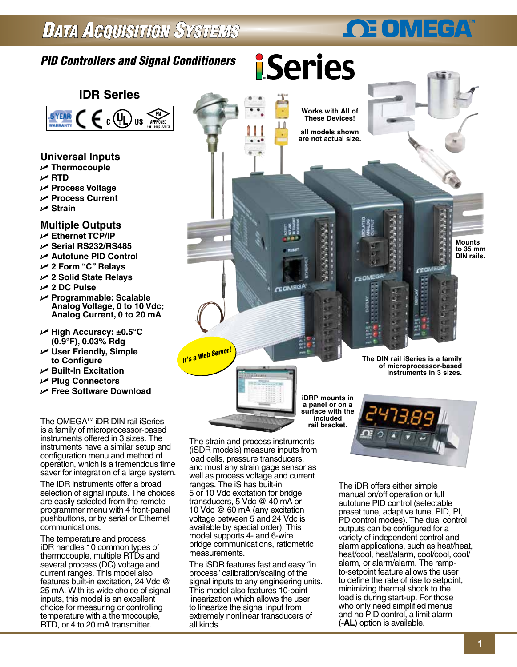## **DATA ACQUISITION SYSTEMS**

### *PID Controllers and Signal Conditioners*



- **Universal Inputs**
- U **Thermocouple**
- U **RTD**
- U **Process Voltage**
- U **Process Current**
- U **Strain**

#### **Multiple Outputs**

- U **Ethernet TCP/IP**
- U **Serial RS232/RS485**
- U **Autotune PID Control**
- U **2 Form "C" Relays**
- U **2 Solid State Relays**
- U **2 DC Pulse**
- U **Programmable: Scalable Analog Voltage, 0 to 10 Vdc; Analog Current, 0 to 20 mA**
- U **High Accuracy: ±0.5°C (0.9°F), 0.03% Rdg**
- U **User Friendly, Simple to Configure**
- U **Built-In Excitation**
- U **Plug Connectors**
- U **Free Software Download**

The OMEGA<sup>™</sup> iDR DIN rail iSeries is a family of microprocessor-based instruments offered in 3 sizes. The instruments have a similar setup and configuration menu and method of operation, which is a tremendous time saver for integration of a large system.

The iDR instruments offer a broad selection of signal inputs. The choices are easily selected from the remote programmer menu with 4 front-panel pushbuttons, or by serial or Ethernet communications.

The temperature and process iDR handles 10 common types of thermocouple, multiple RTDs and several process (DC) voltage and current ranges. This model also features built-in excitation, 24 Vdc @ 25 mA. With its wide choice of signal inputs, this model is an excellent choice for measuring or controlling temperature with a thermocouple, RTD, or 4 to 20 mA transmitter.

The strain and process instruments (iSDR models) measure inputs from load cells, pressure transducers, and most any strain gage sensor as well as process voltage and current ranges. The iS has built-in 5 or 10 Vdc excitation for bridge transducers, 5 Vdc @ 40 mA or 10 Vdc @ 60 mA (any excitation voltage between 5 and 24 Vdc is available by special order). This model supports 4- and 6-wire bridge communications, ratiometric measurements.

*It's <sup>a</sup> Web Server!*

The iSDR features fast and easy "in process" calibration/scaling of the signal inputs to any engineering units. This model also features 10-point linearization which allows the user to linearize the signal input from extremely nonlinear transducers of all kinds.

**The DIN rail iSeries is a family of microprocessor-based** 

**GED** 

**GEOMED** 

**OE OMEGA** 

**Mounts to 35 mm DIN rails.**

**iDRP mounts in a panel or on a surface with the included** 

**Works with All of These Devices! all models shown are not actual size.**

**iSeries** 

**GEOMEGA** 

The iDR offers either simple manual on/off operation or full autotune PID control (selectable preset tune, adaptive tune, PID, PI, PD control modes). The dual control outputs can be configured for a variety of independent control and alarm applications, such as heat/heat, heat/cool, heat/alarm, cool/cool, cool/ alarm, or alarm/alarm. The rampto-setpoint feature allows the user to define the rate of rise to setpoint, minimizing thermal shock to the load is during start-up. For those who only need simplified menus and no PID control, a limit alarm (**-AL**) option is available.

**instruments in 3 sizes.**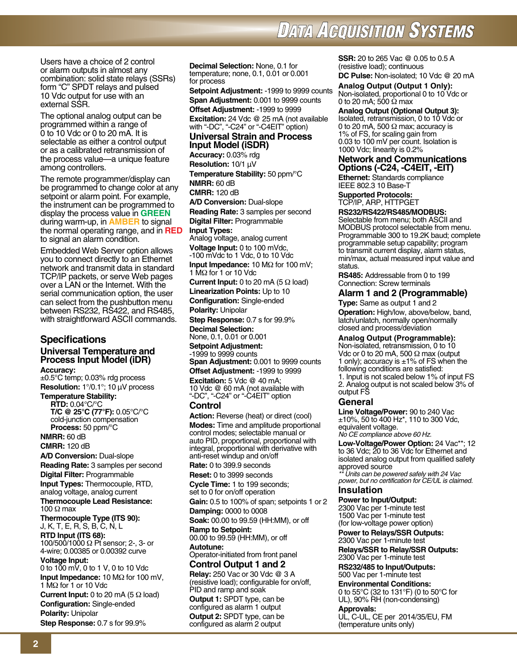# **DATA AGQUISITION SYSTEMS**

Users have a choice of 2 control or alarm outputs in almost any combination: solid state relays (SSRs) form "C" SPDT relays and pulsed 10 Vdc output for use with an external SSR.

The optional analog output can be programmed within a range of 0 to 10 Vdc or 0 to 20 mA. It is selectable as either a control output or as a calibrated retransmission of the process value—a unique feature among controllers.

The remote programmer/display can be programmed to change color at any setpoint or alarm point. For example, the instrument can be programmed to display the process value in **GREEN** during warm-up, in **AMBER** to signal the normal operating range, and in **RED** to signal an alarm condition.

Embedded Web Server option allows you to connect directly to an Ethernet network and transmit data in standard TCP/IP packets, or serve Web pages over a LAN or the Internet. With the serial communication option, the user can select from the pushbutton menu between RS232, RS422, and RS485, with straightforward ASCII commands.

### **Specifications**

### **Universal Temperature and Process Input Model (iDR)**

**Accuracy:**

±0.5°C temp; 0.03% rdg process **Resolution:** 1°/0.1°; 10 μV process

**Temperature Stability: RTD: 0.04°C/°C T/C @ 25°C (77°F):** 0.05°C/°C cold-junction compensation

**Process:** 50 ppm/°C **NMRR:** 60 dB

**CMRR:** 120 dB

**A/D Conversion:** Dual-slope **Reading Rate:** 3 samples per second

**Digital Filter:** Programmable

**Input Types:** Thermocouple, RTD, analog voltage, analog current **Thermocouple Lead Resistance:** 100 Ω max

**Thermocouple Type (ITS 90):** J, K, T, E, R, S, B, C, N, L **RTD Input (ITS 68):**

100/500/1000 Ω Pt sensor; 2-, 3- or 4-wire; 0.00385 or 0.00392 curve **Voltage Input:**

0 to 100 mV, 0 to 1 V, 0 to 10 Vdc **Input Impedance:** 10 MΩ for 100 mV, 1 MΩ for 1 or 10 Vdc

**Current Input:** 0 to 20 mA (5 Ω load) **Configuration:** Single-ended **Polarity:** Unipolar **Step Response:** 0.7 s for 99.9%

**Decimal Selection:** None, 0.1 for temperature; none, 0.1, 0.01 or 0.001 for process

**Setpoint Adjustment:** -1999 to 9999 counts

**Span Adjustment:** 0.001 to 9999 counts **Offset Adjustment:** -1999 to 9999 **Excitation:** 24 Vdc @ 25 mA (not available with "-DC", "-C24" or "-C4EIT" option)

#### **Universal Strain and Process Input Model (iSDR)**

**Accuracy:** 0.03% rdg **Resolution:** 10/1 μV **Temperature Stability:** 50 ppm/°C **NMRR:** 60 dB **CMRR:** 120 dB **A/D Conversion:** Dual-slope **Reading Rate:** 3 samples per second **Digital Filter:** Programmable

**Input Types:**

Analog voltage, analog current

**Voltage Input:** 0 to 100 mVdc, -100 mVdc to 1 Vdc, 0 to 10 Vdc **Input Impedance:** 10 MΩ for 100 mV;

1 MΩ for 1 or 10 Vdc

**Current Input:** 0 to 20 mA (5 Ω load)

**Linearization Points:** Up to 10 **Configuration:** Single-ended **Polarity:** Unipolar

**Step Response:** 0.7 s for 99.9%

**Decimal Selection:**

None, 0.1, 0.01 or 0.001 **Setpoint Adjustment:**

-1999 to 9999 counts

**Span Adjustment:** 0.001 to 9999 counts

**Offset Adjustment:** -1999 to 9999 **Excitation:** 5 Vdc @ 40 mA; 10 Vdc @ 60 mA (not available with

"-DC", "-C24" or "-C4EIT" option

#### **Control**

Action: Reverse (heat) or direct (cool) **Modes:** Time and amplitude proportional control modes; selectable manual or auto PID, proportional, proportional with integral, proportional with derivative with anti-reset windup and on/off

**Rate:** 0 to 399.9 seconds

**Reset:** 0 to 3999 seconds **Cycle Time:** 1 to 199 seconds;

set to 0 for on/off operation

**Gain:** 0.5 to 100% of span; setpoints 1 or 2 **Damping:** 0000 to 0008

**Soak:** 00.00 to 99.59 (HH:MM), or off

**Ramp to Setpoint:** 00.00 to 99.59 (HH:MM), or off **Autotune:**

Operator-initiated from front panel **Control Output 1 and 2**

**Relay:** 250 Vac or 30 Vdc @ 3 A (resistive load); configurable for on/off, PID and ramp and soak

**Output 1:** SPDT type, can be configured as alarm 1 output **Output 2:** SPDT type, can be configured as alarm 2 output

**SSR:** 20 to 265 Vac @ 0.05 to 0.5 A (resistive load); continuous

**DC Pulse:** Non-isolated; 10 Vdc @ 20 mA

**Analog Output (Output 1 Only):** Non-isolated, proportional 0 to 10 Vdc or 0 to 20 mA; 500  $\Omega$  max

**Analog Output (Optional Output 3):** Isolated, retransmission, 0 to 10 Vdc or 0 to 20 mA, 500  $\Omega$  max; accuracy is

1% of FS, for scaling gain from 0.03 to 100 mV per count. Isolation is 1000 Vdc; linearity is 0.2%

#### **Network and Communications Options (-C24, -C4EIT, -EIT)**

**Ethernet:** Standards compliance IEEE 802.3 10 Base-T

**Supported Protocols:** TCP/IP, ARP, HTTPGET

**RS232/RS422/RS485/MODBUS:**

Selectable from menu; both ASCII and MODBUS protocol selectable from menu. Programmable 300 to 19.2K baud; complete programmable setup capability; program to transmit current display, alarm status, min/max, actual measured input value and status.

**RS485:** Addressable from 0 to 199 Connection: Screw terminals

#### **Alarm 1 and 2 (Programmable)**

**Type:** Same as output 1 and 2 **Operation:** High/low, above/below, band, latch/unlatch, normally open/normally closed and process/deviation

**Analog Output (Programmable):**

Non-isolated, retransmission, 0 to 10 Vdc or 0 to 20 mA, 500  $\Omega$  max (output 1 only); accuracy is  $\pm 1\%$  of FS when the following conditions are satisfied: 1. Input is not scaled below 1% of input FS 2. Analog output is not scaled below 3% of output FS

#### **General**

**Line Voltage/Power:** 90 to 240 Vac ±10%, 50 to 400 Hz\*, 110 to 300 Vdc, equivalent voltage. *No CE compliance above 60 Hz.*

**Low-Voltage/Power Option:** 24 Vac\*\*; 12 to 36 Vdc; 20 to 36 Vdc for Ethernet and isolated analog output from qualified safety approved source

*\*\* Units can be powered safely with 24 Vac power, but no certification for CE/UL is claimed.*

#### **Insulation**

**Power to Input/Output:**

2300 Vac per 1-minute test 1500 Vac per 1-minute test (for low-voltage power option)

**Power to Relays/SSR Outputs:** 2300 Vac per 1-minute test

**Relays/SSR to Relay/SSR Outputs:** 2300 Vac per 1-minute test

**RS232/485 to Input/Outputs:** 500 Vac per 1-minute test

**Environmental Conditions:**

0 to 55°C (32 to 131°F) (0 to 50°C for UL), 90% RH (non-condensing)

#### **Approvals:**

UL, C-UL, CE per 2014/35/EU, FM (temperature units only)